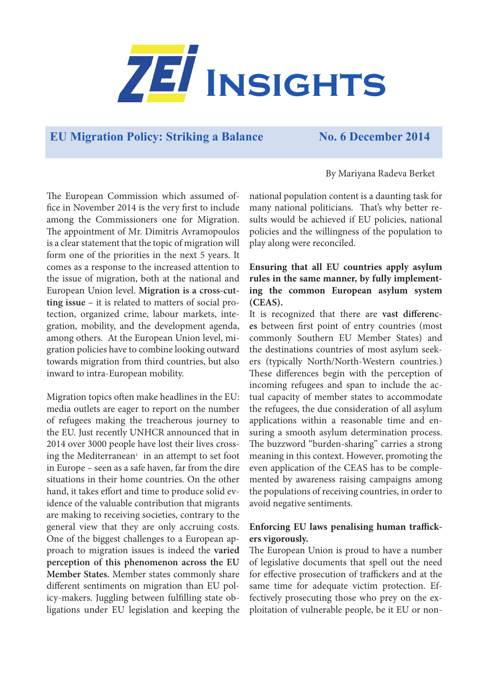

# **EU Migration Policy: Striking a Balance No. 6 December 2014**

By Mariyana Radeva Berket

The European Commission which assumed office in November 2014 is the very first to include among the Commissioners one for Migration. The appointment of Mr. Dimitris Avramopoulos is a clear statement that the topic of migration will form one of the priorities in the next 5 years. It comes as a response to the increased attention to the issue of migration, both at the national and European Union level. **Migration is a cross-cutting issue** – it is related to matters of social protection, organized crime, labour markets, integration, mobility, and the development agenda, among others. At the European Union level, migration policies have to combine looking outward towards migration from third countries, but also inward to intra-European mobility.

Migration topics often make headlines in the EU: media outlets are eager to report on the number of refugees making the treacherous journey to the EU. Just recently UNHCR announced that in 2014 over 3000 people have lost their lives crossing the Mediterranean<sup>1</sup> in an attempt to set foot in Europe – seen as a safe haven, far from the dire situations in their home countries. On the other hand, it takes effort and time to produce solid evidence of the valuable contribution that migrants are making to receiving societies, contrary to the general view that they are only accruing costs. One of the biggest challenges to a European approach to migration issues is indeed the **varied perception of this phenomenon across the EU Member States.** Member states commonly share different sentiments on migration than EU policy-makers. Juggling between fulfilling state obligations under EU legislation and keeping the

national population content is a daunting task for many national politicians. That's why better results would be achieved if EU policies, national policies and the willingness of the population to play along were reconciled.

#### **Ensuring that all EU countries apply asylum rules in the same manner, by fully implementing the common European asylum system (CEAS).**

It is recognized that there are **vast differences** between first point of entry countries (most commonly Southern EU Member States) and the destinations countries of most asylum seekers (typically North/North-Western countries.) These differences begin with the perception of incoming refugees and span to include the actual capacity of member states to accommodate the refugees, the due consideration of all asylum applications within a reasonable time and ensuring a smooth asylum determination process. The buzzword "burden-sharing" carries a strong meaning in this context. However, promoting the even application of the CEAS has to be complemented by awareness raising campaigns among the populations of receiving countries, in order to avoid negative sentiments.

## **Enforcing EU laws penalising human traffickers vigorously.**

The European Union is proud to have a number of legislative documents that spell out the need for effective prosecution of traffickers and at the same time for adequate victim protection. Effectively prosecuting those who prey on the exploitation of vulnerable people, be it EU or non